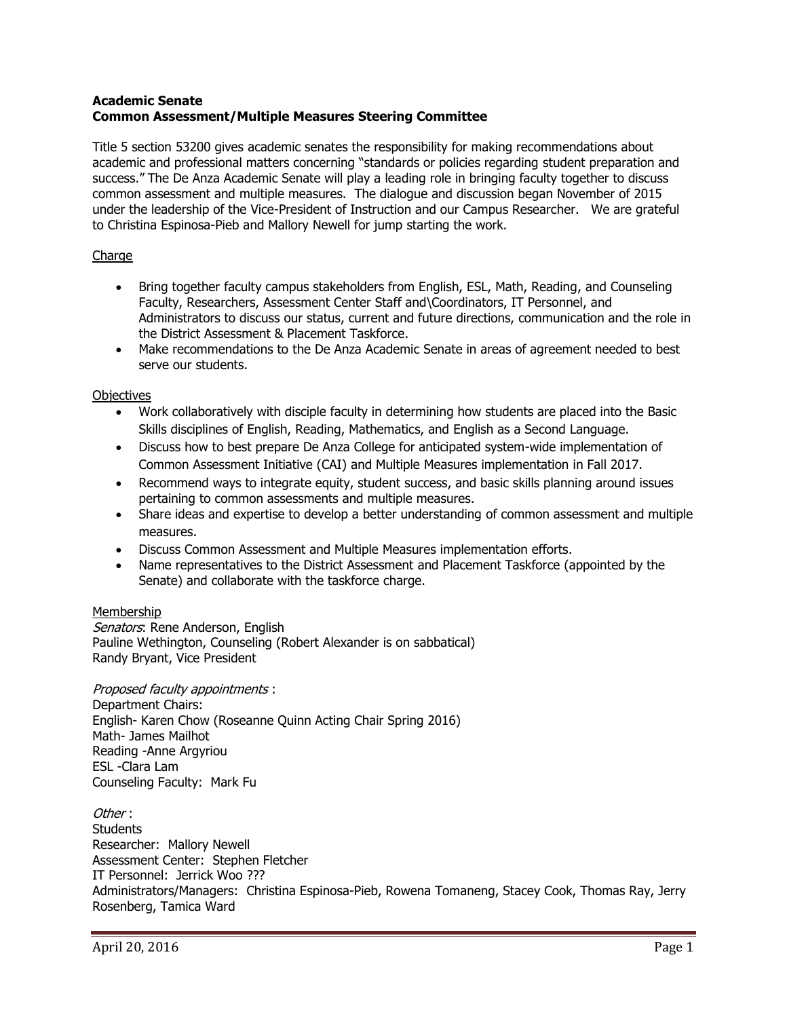## **Academic Senate Common Assessment/Multiple Measures Steering Committee**

Title 5 section 53200 gives academic senates the responsibility for making recommendations about academic and professional matters concerning "standards or policies regarding student preparation and success." The De Anza Academic Senate will play a leading role in bringing faculty together to discuss common assessment and multiple measures. The dialogue and discussion began November of 2015 under the leadership of the Vice-President of Instruction and our Campus Researcher. We are grateful to Christina Espinosa-Pieb and Mallory Newell for jump starting the work.

## Charge

- Bring together faculty campus stakeholders from English, ESL, Math, Reading, and Counseling Faculty, Researchers, Assessment Center Staff and\Coordinators, IT Personnel, and Administrators to discuss our status, current and future directions, communication and the role in the District Assessment & Placement Taskforce.
- Make recommendations to the De Anza Academic Senate in areas of agreement needed to best serve our students.

## **Objectives**

- Work collaboratively with disciple faculty in determining how students are placed into the Basic Skills disciplines of English, Reading, Mathematics, and English as a Second Language.
- Discuss how to best prepare De Anza College for anticipated system-wide implementation of Common Assessment Initiative (CAI) and Multiple Measures implementation in Fall 2017.
- Recommend ways to integrate equity, student success, and basic skills planning around issues pertaining to common assessments and multiple measures.
- Share ideas and expertise to develop a better understanding of common assessment and multiple measures.
- Discuss Common Assessment and Multiple Measures implementation efforts.
- Name representatives to the District Assessment and Placement Taskforce (appointed by the Senate) and collaborate with the taskforce charge.

## Membership

Senators: Rene Anderson, English Pauline Wethington, Counseling (Robert Alexander is on sabbatical) Randy Bryant, Vice President

Proposed faculty appointments : Department Chairs: English- Karen Chow (Roseanne Quinn Acting Chair Spring 2016) Math- James Mailhot Reading -Anne Argyriou ESL -Clara Lam Counseling Faculty: Mark Fu

Other : **Students** Researcher: Mallory Newell Assessment Center: Stephen Fletcher IT Personnel: Jerrick Woo ??? Administrators/Managers: Christina Espinosa-Pieb, Rowena Tomaneng, Stacey Cook, Thomas Ray, Jerry Rosenberg, Tamica Ward